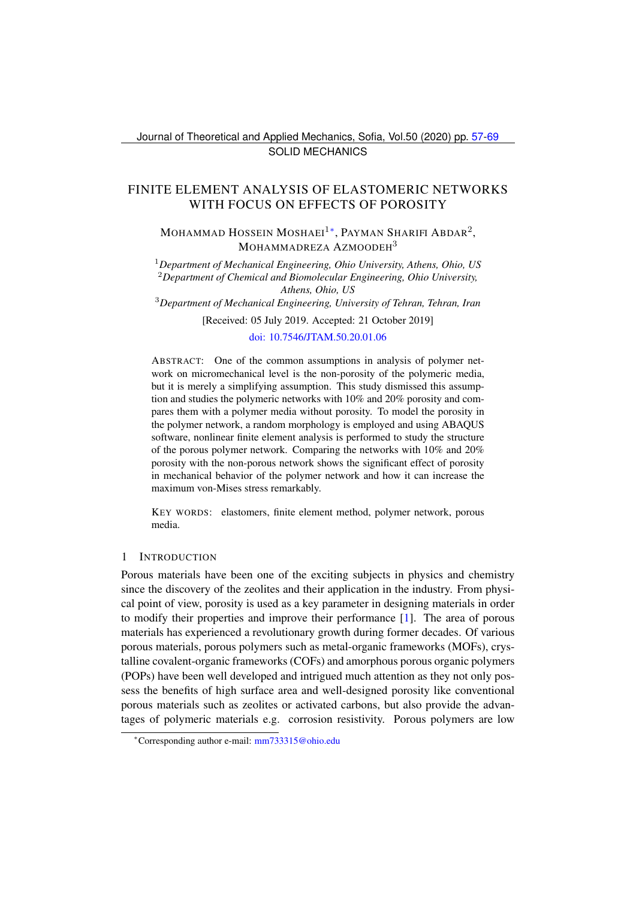# <span id="page-0-0"></span>FINITE ELEMENT ANALYSIS OF ELASTOMERIC NETWORKS WITH FOCUS ON EFFECTS OF POROSITY

Mohammad Hossein Moshaei $^{1*}$ , Payman Sharifi Abdar $^{2},$ MOHAMMADREZA AZMOODEH<sup>3</sup>

<sup>1</sup>*Department of Mechanical Engineering, Ohio University, Athens, Ohio, US* <sup>2</sup>*Department of Chemical and Biomolecular Engineering, Ohio University, Athens, Ohio, US*

<sup>3</sup>*Department of Mechanical Engineering, University of Tehran, Tehran, Iran*

[Received: 05 July 2019. Accepted: 21 October 2019]

## [doi: 10.7546/JTAM.50.20.01.06](https://doi.org/10.7546/JTAM.50.20.01.06)

ABSTRACT: One of the common assumptions in analysis of polymer network on micromechanical level is the non-porosity of the polymeric media, but it is merely a simplifying assumption. This study dismissed this assumption and studies the polymeric networks with 10% and 20% porosity and compares them with a polymer media without porosity. To model the porosity in the polymer network, a random morphology is employed and using ABAQUS software, nonlinear finite element analysis is performed to study the structure of the porous polymer network. Comparing the networks with 10% and 20% porosity with the non-porous network shows the significant effect of porosity in mechanical behavior of the polymer network and how it can increase the maximum von-Mises stress remarkably.

KEY WORDS: elastomers, finite element method, polymer network, porous media.

#### 1 INTRODUCTION

Porous materials have been one of the exciting subjects in physics and chemistry since the discovery of the zeolites and their application in the industry. From physical point of view, porosity is used as a key parameter in designing materials in order to modify their properties and improve their performance [\[1\]](#page-10-0). The area of porous materials has experienced a revolutionary growth during former decades. Of various porous materials, porous polymers such as metal-organic frameworks (MOFs), crystalline covalent-organic frameworks (COFs) and amorphous porous organic polymers (POPs) have been well developed and intrigued much attention as they not only possess the benefits of high surface area and well-designed porosity like conventional porous materials such as zeolites or activated carbons, but also provide the advantages of polymeric materials e.g. corrosion resistivity. Porous polymers are low

<span id="page-0-1"></span><sup>∗</sup>Corresponding author e-mail: [mm733315@ohio.edu](mailto:mm733315@ohio.edu)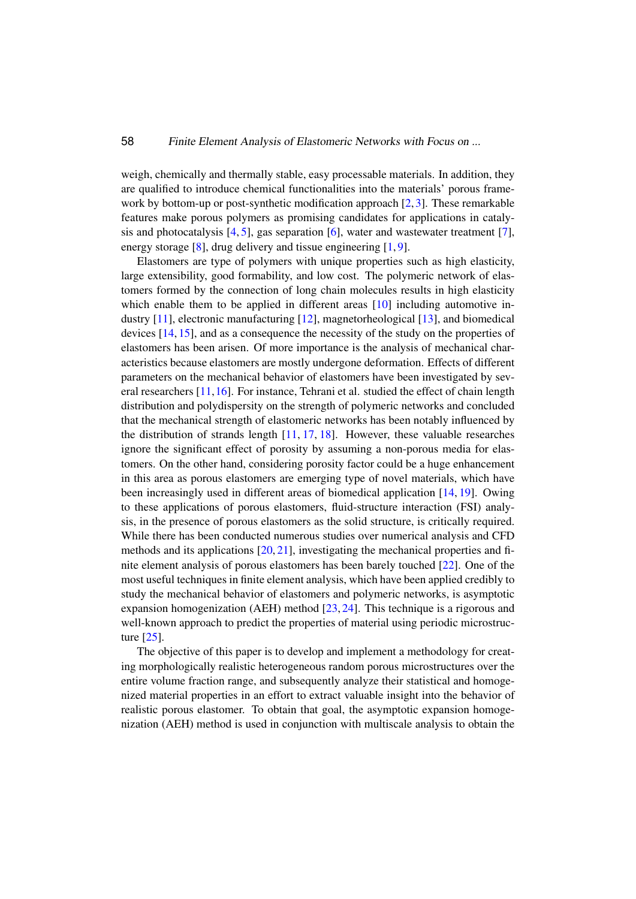#### 58 Finite Element Analysis of Elastomeric Networks with Focus on ...

weigh, chemically and thermally stable, easy processable materials. In addition, they are qualified to introduce chemical functionalities into the materials' porous frame-work by bottom-up or post-synthetic modification approach [\[2,](#page-10-1)[3\]](#page-10-2). These remarkable features make porous polymers as promising candidates for applications in catalysis and photocatalysis  $[4, 5]$  $[4, 5]$  $[4, 5]$ , gas separation  $[6]$ , water and wastewater treatment  $[7]$ , energy storage [\[8\]](#page-10-7), drug delivery and tissue engineering [\[1,](#page-10-0)[9\]](#page-10-8).

Elastomers are type of polymers with unique properties such as high elasticity, large extensibility, good formability, and low cost. The polymeric network of elastomers formed by the connection of long chain molecules results in high elasticity which enable them to be applied in different areas [\[10\]](#page-10-9) including automotive industry [\[11\]](#page-11-0), electronic manufacturing [\[12\]](#page-11-1), magnetorheological [\[13\]](#page-11-2), and biomedical devices [\[14,](#page-11-3) [15\]](#page-11-4), and as a consequence the necessity of the study on the properties of elastomers has been arisen. Of more importance is the analysis of mechanical characteristics because elastomers are mostly undergone deformation. Effects of different parameters on the mechanical behavior of elastomers have been investigated by several researchers [\[11,](#page-11-0)[16\]](#page-11-5). For instance, Tehrani et al. studied the effect of chain length distribution and polydispersity on the strength of polymeric networks and concluded that the mechanical strength of elastomeric networks has been notably influenced by the distribution of strands length  $[11, 17, 18]$  $[11, 17, 18]$  $[11, 17, 18]$  $[11, 17, 18]$  $[11, 17, 18]$ . However, these valuable researches ignore the significant effect of porosity by assuming a non-porous media for elastomers. On the other hand, considering porosity factor could be a huge enhancement in this area as porous elastomers are emerging type of novel materials, which have been increasingly used in different areas of biomedical application [\[14,](#page-11-3) [19\]](#page-11-8). Owing to these applications of porous elastomers, fluid-structure interaction (FSI) analysis, in the presence of porous elastomers as the solid structure, is critically required. While there has been conducted numerous studies over numerical analysis and CFD methods and its applications [\[20,](#page-11-9) [21\]](#page-11-10), investigating the mechanical properties and finite element analysis of porous elastomers has been barely touched [\[22\]](#page-11-11). One of the most useful techniques in finite element analysis, which have been applied credibly to study the mechanical behavior of elastomers and polymeric networks, is asymptotic expansion homogenization (AEH) method  $[23, 24]$  $[23, 24]$  $[23, 24]$ . This technique is a rigorous and well-known approach to predict the properties of material using periodic microstructure [\[25\]](#page-11-14).

The objective of this paper is to develop and implement a methodology for creating morphologically realistic heterogeneous random porous microstructures over the entire volume fraction range, and subsequently analyze their statistical and homogenized material properties in an effort to extract valuable insight into the behavior of realistic porous elastomer. To obtain that goal, the asymptotic expansion homogenization (AEH) method is used in conjunction with multiscale analysis to obtain the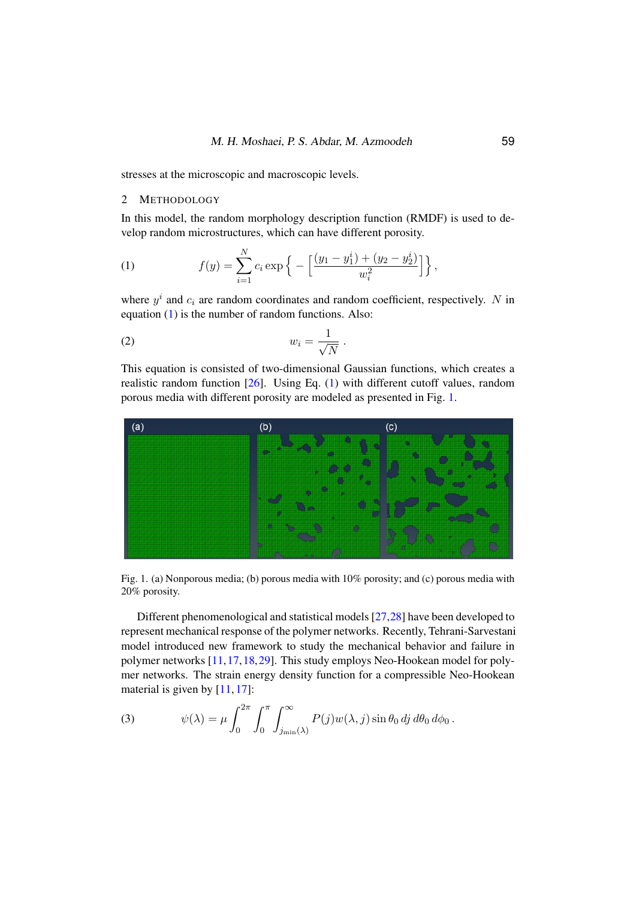stresses at the microscopic and macroscopic levels.

## 2 METHODOLOGY

In this model, the random morphology description function (RMDF) is used to develop random microstructures, which can have different porosity.

<span id="page-2-0"></span>(1) 
$$
f(y) = \sum_{i=1}^{N} c_i \exp \left\{-\left[\frac{(y_1 - y_1^i) + (y_2 - y_2^i)}{w_i^2}\right]\right\},
$$

where  $y^i$  and  $c_i$  are random coordinates and random coefficient, respectively. N in equation [\(1\)](#page-2-0) is the number of random functions. Also:

$$
(2) \t\t\t w_i = \frac{1}{\sqrt{N}} \ .
$$

This equation is consisted of two-dimensional Gaussian functions, which creates a realistic random function [\[26\]](#page-11-15). Using Eq. [\(1\)](#page-2-0) with different cutoff values, random porous media with different porosity are modeled as presented in Fig. [1.](#page-2-1)



<span id="page-2-1"></span>Fig. 1. (a) Nonporous media; (b) porous media with 10% porosity; and (c) porous media with 20% porosity.

Different phenomenological and statistical models [\[27](#page-12-1)[,28\]](#page-12-2) have been developed to represent mechanical response of the polymer networks. Recently, Tehrani-Sarvestani model introduced new framework to study the mechanical behavior and failure in polymer networks [\[11,](#page-11-0)[17,](#page-11-6)[18,](#page-11-7)[29\]](#page-12-3). This study employs Neo-Hookean model for polymer networks. The strain energy density function for a compressible Neo-Hookean material is given by [\[11,](#page-11-0) [17\]](#page-11-6):

(3) 
$$
\psi(\lambda) = \mu \int_0^{2\pi} \int_0^{\pi} \int_{j_{\min}(\lambda)}^{\infty} P(j) w(\lambda, j) \sin \theta_0 \, dj \, d\theta_0 \, d\phi_0.
$$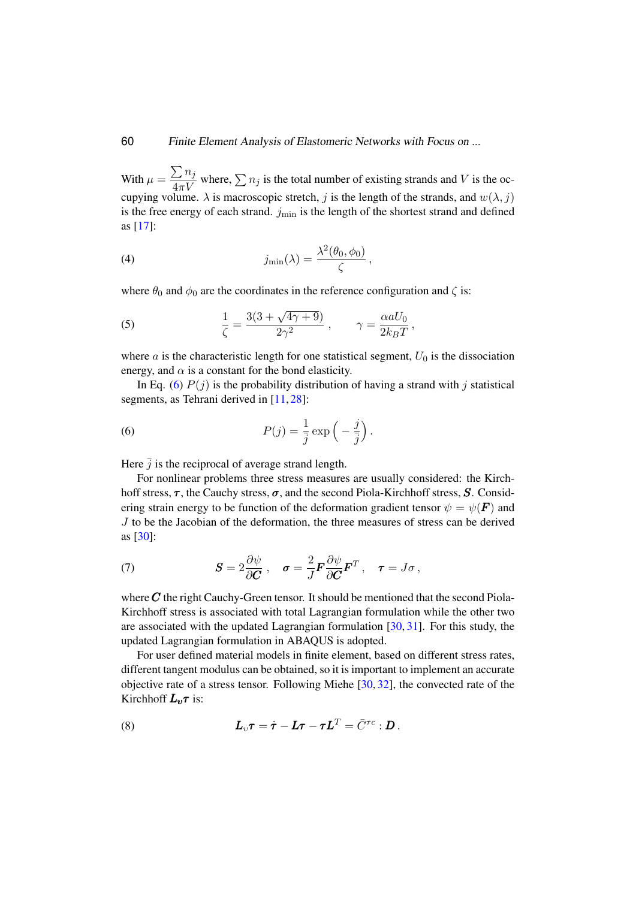60 Finite Element Analysis of Elastomeric Networks with Focus on ...

With  $\mu = \frac{\sum n_j}{1 + k_j}$  $\frac{\sum n_j}{4\pi V}$  where,  $\sum n_j$  is the total number of existing strands and V is the occupying volume.  $\lambda$  is macroscopic stretch, j is the length of the strands, and  $w(\lambda, j)$ is the free energy of each strand.  $j_{\text{min}}$  is the length of the shortest strand and defined as [\[17\]](#page-11-6):

(4) 
$$
j_{\min}(\lambda) = \frac{\lambda^2(\theta_0, \phi_0)}{\zeta},
$$

where  $\theta_0$  and  $\phi_0$  are the coordinates in the reference configuration and  $\zeta$  is:

(5) 
$$
\frac{1}{\zeta} = \frac{3(3+\sqrt{4\gamma+9})}{2\gamma^2}, \qquad \gamma = \frac{\alpha a U_0}{2k_B T},
$$

where a is the characteristic length for one statistical segment,  $U_0$  is the dissociation energy, and  $\alpha$  is a constant for the bond elasticity.

In Eq. [\(6\)](#page-3-0)  $P(j)$  is the probability distribution of having a strand with j statistical segments, as Tehrani derived in [\[11,](#page-11-0) [28\]](#page-12-2):

<span id="page-3-0"></span>(6) 
$$
P(j) = \frac{1}{\overline{j}} \exp\left(-\frac{j}{\overline{j}}\right).
$$

Here  $\bar{j}$  is the reciprocal of average strand length.

For nonlinear problems three stress measures are usually considered: the Kirchhoff stress,  $\tau$ , the Cauchy stress,  $\sigma$ , and the second Piola-Kirchhoff stress,  $S$ . Considering strain energy to be function of the deformation gradient tensor  $\psi = \psi(\mathbf{F})$  and J to be the Jacobian of the deformation, the three measures of stress can be derived as [\[30\]](#page-12-4):

(7) 
$$
\mathbf{S} = 2 \frac{\partial \psi}{\partial \mathbf{C}}, \quad \boldsymbol{\sigma} = \frac{2}{J} \mathbf{F} \frac{\partial \psi}{\partial \mathbf{C}} \mathbf{F}^T, \quad \boldsymbol{\tau} = J \sigma,
$$

where  $C$  the right Cauchy-Green tensor. It should be mentioned that the second Piola-Kirchhoff stress is associated with total Lagrangian formulation while the other two are associated with the updated Lagrangian formulation [\[30,](#page-12-4) [31\]](#page-12-5). For this study, the updated Lagrangian formulation in ABAQUS is adopted.

For user defined material models in finite element, based on different stress rates, different tangent modulus can be obtained, so it is important to implement an accurate objective rate of a stress tensor. Following Miehe [\[30,](#page-12-4) [32\]](#page-12-6), the convected rate of the Kirchhoff  $L_v \tau$  is:

(8) 
$$
L_v \tau = \dot{\tau} - L\tau - \tau L^T = \bar{C}^{\tau c} : D.
$$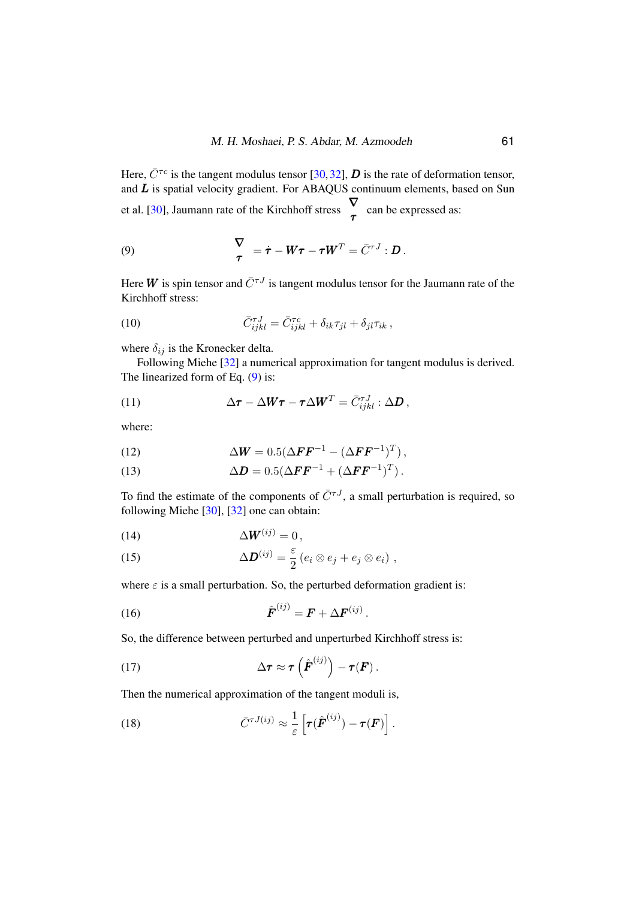Here,  $\bar{C}^{\tau c}$  is the tangent modulus tensor [\[30,](#page-12-4)[32\]](#page-12-6), D is the rate of deformation tensor, and  $L$  is spatial velocity gradient. For ABAQUS continuum elements, based on Sun et al. [\[30\]](#page-12-4), Jaumann rate of the Kirchhoff stress  $\begin{matrix} \nabla \\ \tau \end{matrix}$  can be expressed as:

<span id="page-4-0"></span>(9) 
$$
\nabla \over \tau = \dot{\tau} - W\tau - \tau W^T = \bar{C}^{\tau J} : D.
$$

Here W is spin tensor and  $\bar{C}^{\tau J}$  is tangent modulus tensor for the Jaumann rate of the Kirchhoff stress:

(10) 
$$
\bar{C}^{\tau J}_{ijkl} = \bar{C}^{\tau c}_{ijkl} + \delta_{ik}\tau_{jl} + \delta_{jl}\tau_{ik},
$$

where  $\delta_{ij}$  is the Kronecker delta.

Following Miehe [\[32\]](#page-12-6) a numerical approximation for tangent modulus is derived. The linearized form of Eq.  $(9)$  is:

(11) 
$$
\Delta \boldsymbol{\tau} - \Delta \boldsymbol{W} \boldsymbol{\tau} - \boldsymbol{\tau} \Delta \boldsymbol{W}^T = \bar{C}_{ijkl}^{\tau J} : \Delta \boldsymbol{D},
$$

where:

(12) 
$$
\Delta W = 0.5(\Delta FF^{-1} - (\Delta FF^{-1})^T),
$$

(13) 
$$
\Delta D = 0.5(\Delta FF^{-1} + (\Delta FF^{-1})^T).
$$

To find the estimate of the components of  $\bar{C}^{\tau J}$ , a small perturbation is required, so following Miehe [\[30\]](#page-12-4), [\[32\]](#page-12-6) one can obtain:

$$
(14) \qquad \qquad \Delta W^{(ij)} = 0 \,,
$$

(15) 
$$
\Delta \boldsymbol{D}^{(ij)} = \frac{\varepsilon}{2} (e_i \otimes e_j + e_j \otimes e_i) ,
$$

where  $\varepsilon$  is a small perturbation. So, the perturbed deformation gradient is:

$$
\hat{\boldsymbol{F}}^{(ij)} = \boldsymbol{F} + \Delta \boldsymbol{F}^{(ij)}.
$$

So, the difference between perturbed and unperturbed Kirchhoff stress is:

(17) 
$$
\Delta \tau \approx \tau \left( \hat{\boldsymbol{F}}^{(ij)} \right) - \tau(\boldsymbol{F}) .
$$

Then the numerical approximation of the tangent moduli is,

<span id="page-4-1"></span>(18) 
$$
\bar{C}^{\tau J(ij)} \approx \frac{1}{\varepsilon} \left[ \tau(\hat{\boldsymbol{F}}^{(ij)}) - \tau(\boldsymbol{F}) \right].
$$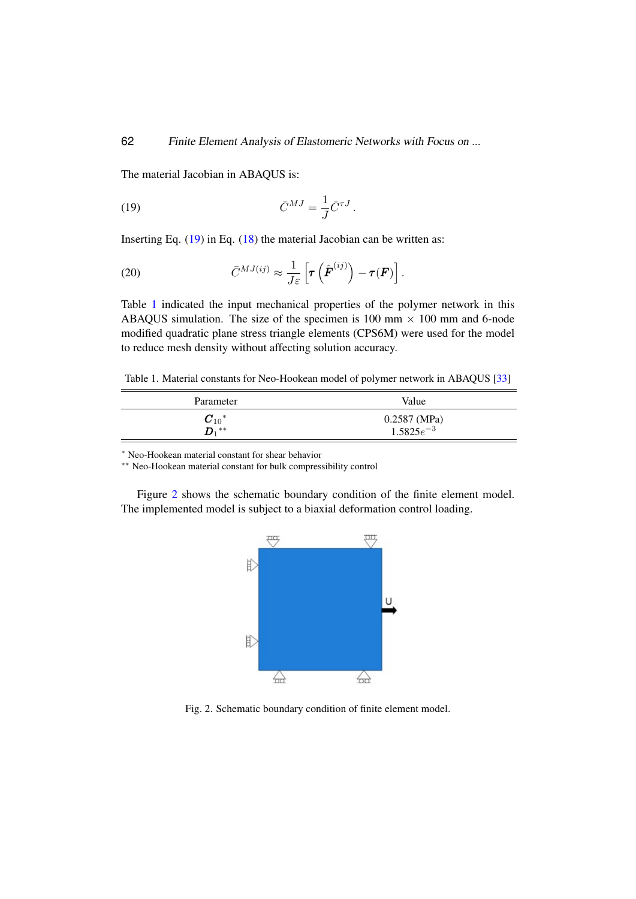The material Jacobian in ABAQUS is:

<span id="page-5-0"></span>(19) 
$$
\bar{C}^{MJ} = \frac{1}{J}\bar{C}^{\tau J}.
$$

Inserting Eq. [\(19\)](#page-5-0) in Eq. [\(18\)](#page-4-1) the material Jacobian can be written as:

(20) 
$$
\bar{C}^{MJ(ij)} \approx \frac{1}{J\varepsilon} \left[ \boldsymbol{\tau} \left( \hat{\boldsymbol{F}}^{(ij)} \right) - \boldsymbol{\tau}(\boldsymbol{F}) \right].
$$

Table [1](#page-5-1) indicated the input mechanical properties of the polymer network in this ABAQUS simulation. The size of the specimen is 100 mm  $\times$  100 mm and 6-node modified quadratic plane stress triangle elements (CPS6M) were used for the model to reduce mesh density without affecting solution accuracy.

<span id="page-5-1"></span>Table 1. Material constants for Neo-Hookean model of polymer network in ABAQUS [\[33\]](#page-12-7)

| Parameter                 | Value                          |
|---------------------------|--------------------------------|
| $\boldsymbol{C}_{10}{}^*$ | 0.2587 (MPa)<br>$1.5825e^{-3}$ |
| n **                      |                                |

<sup>∗</sup> Neo-Hookean material constant for shear behavior

∗∗ Neo-Hookean material constant for bulk compressibility control

Figure [2](#page-5-2) shows the schematic boundary condition of the finite element model. The implemented model is subject to a biaxial deformation control loading.



<span id="page-5-2"></span>Fig. 2. Schematic boundary condition of finite element model.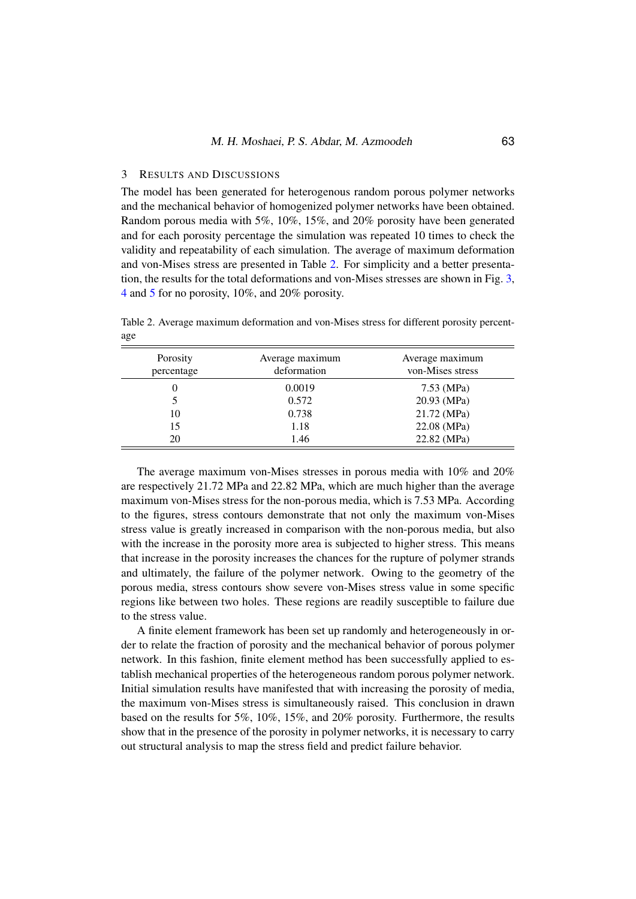## 3 RESULTS AND DISCUSSIONS

The model has been generated for heterogenous random porous polymer networks and the mechanical behavior of homogenized polymer networks have been obtained. Random porous media with 5%, 10%, 15%, and 20% porosity have been generated and for each porosity percentage the simulation was repeated 10 times to check the validity and repeatability of each simulation. The average of maximum deformation and von-Mises stress are presented in Table [2.](#page-6-0) For simplicity and a better presentation, the results for the total deformations and von-Mises stresses are shown in Fig. [3,](#page-7-0) [4](#page-8-0) and [5](#page-9-0) for no porosity, 10%, and 20% porosity.

<span id="page-6-0"></span>Table 2. Average maximum deformation and von-Mises stress for different porosity percentage

| Porosity<br>percentage | Average maximum<br>deformation | Average maximum<br>von-Mises stress |
|------------------------|--------------------------------|-------------------------------------|
| 0                      | 0.0019                         | 7.53 (MPa)                          |
|                        | 0.572                          | 20.93 (MPa)                         |
| 10                     | 0.738                          | 21.72 (MPa)                         |
| 15                     | 1.18                           | 22.08 (MPa)                         |
| 20                     | 1.46                           | 22.82 (MPa)                         |

The average maximum von-Mises stresses in porous media with 10% and 20% are respectively 21.72 MPa and 22.82 MPa, which are much higher than the average maximum von-Mises stress for the non-porous media, which is 7.53 MPa. According to the figures, stress contours demonstrate that not only the maximum von-Mises stress value is greatly increased in comparison with the non-porous media, but also with the increase in the porosity more area is subjected to higher stress. This means that increase in the porosity increases the chances for the rupture of polymer strands and ultimately, the failure of the polymer network. Owing to the geometry of the porous media, stress contours show severe von-Mises stress value in some specific regions like between two holes. These regions are readily susceptible to failure due to the stress value.

A finite element framework has been set up randomly and heterogeneously in order to relate the fraction of porosity and the mechanical behavior of porous polymer network. In this fashion, finite element method has been successfully applied to establish mechanical properties of the heterogeneous random porous polymer network. Initial simulation results have manifested that with increasing the porosity of media, the maximum von-Mises stress is simultaneously raised. This conclusion in drawn based on the results for 5%, 10%, 15%, and 20% porosity. Furthermore, the results show that in the presence of the porosity in polymer networks, it is necessary to carry out structural analysis to map the stress field and predict failure behavior.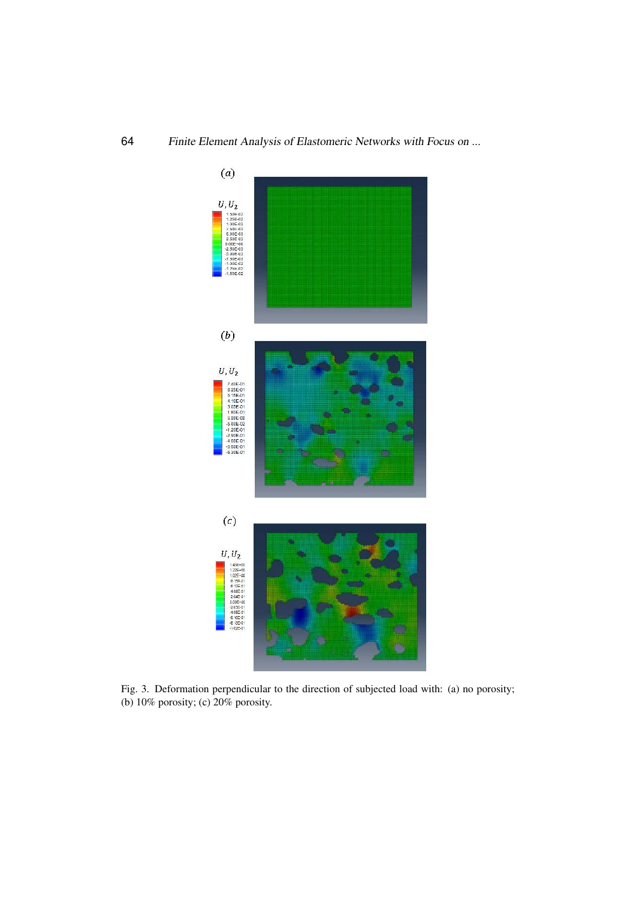

<span id="page-7-0"></span>Fig. 3. Deformation perpendicular to the direction of subjected load with: (a) no porosity; (b) 10% porosity; (c) 20% porosity.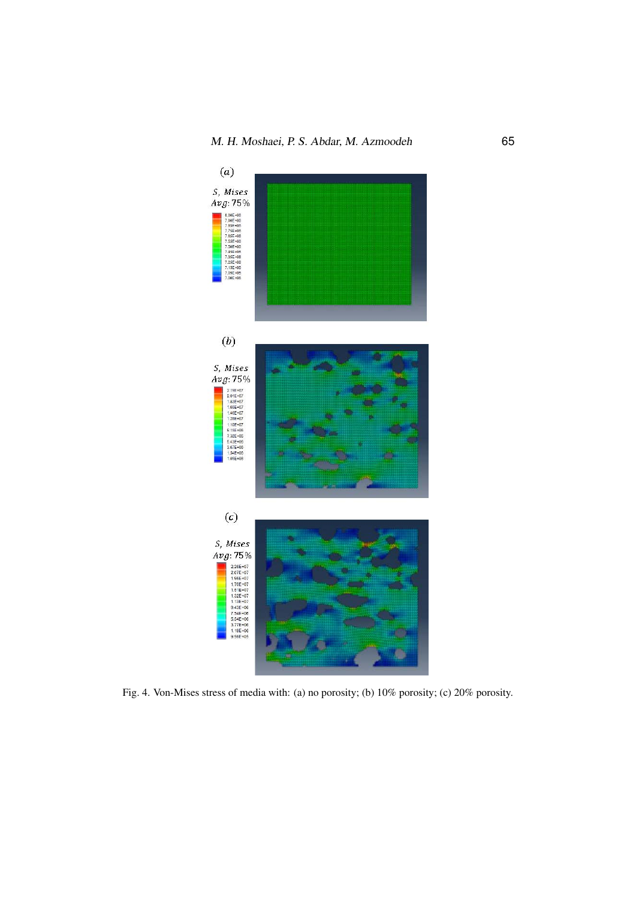

<span id="page-8-0"></span>Fig. 4. Von-Mises stress of media with: (a) no porosity; (b) 10% porosity; (c) 20% porosity.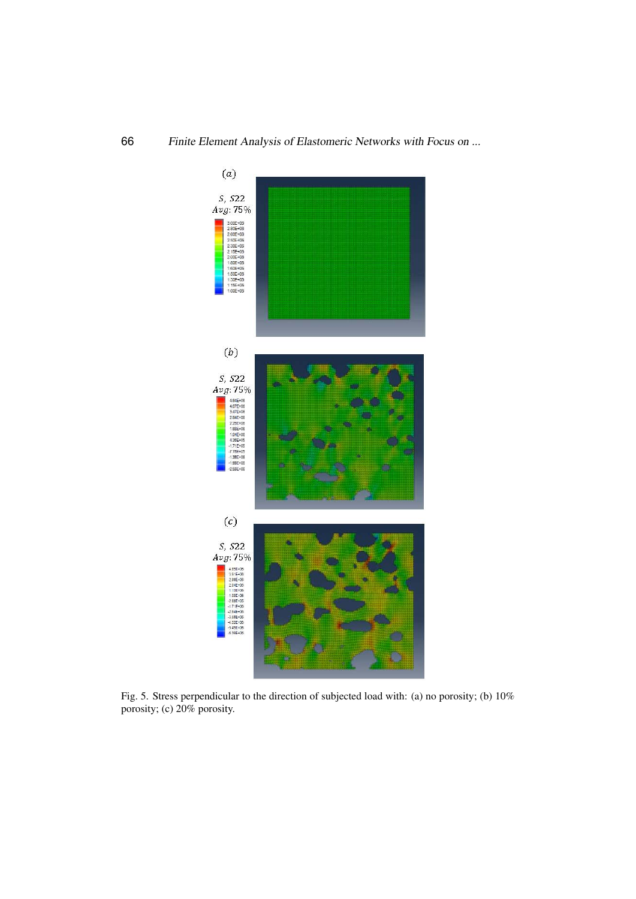

<span id="page-9-0"></span>Fig. 5. Stress perpendicular to the direction of subjected load with: (a) no porosity; (b) 10% porosity; (c) 20% porosity.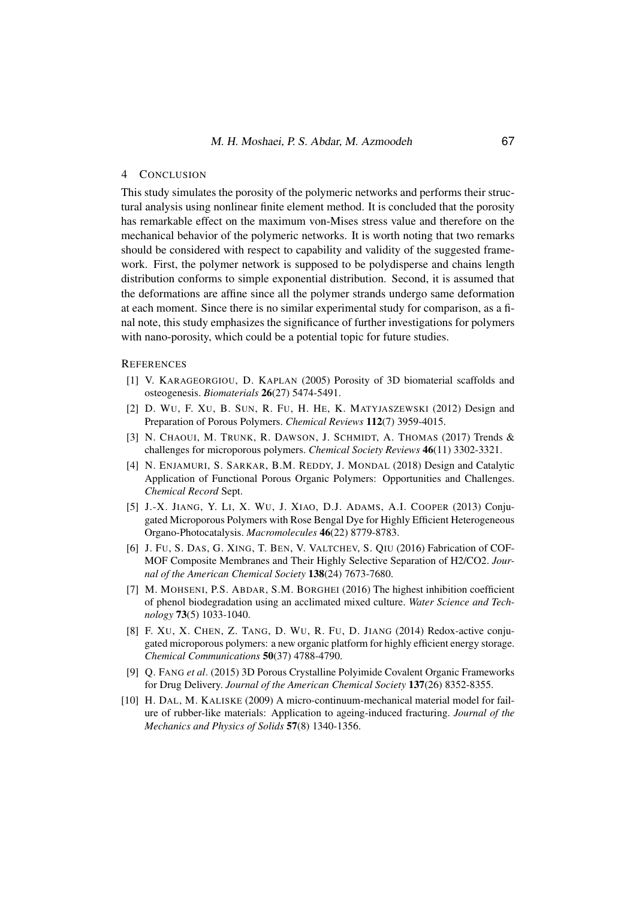## 4 CONCLUSION

This study simulates the porosity of the polymeric networks and performs their structural analysis using nonlinear finite element method. It is concluded that the porosity has remarkable effect on the maximum von-Mises stress value and therefore on the mechanical behavior of the polymeric networks. It is worth noting that two remarks should be considered with respect to capability and validity of the suggested framework. First, the polymer network is supposed to be polydisperse and chains length distribution conforms to simple exponential distribution. Second, it is assumed that the deformations are affine since all the polymer strands undergo same deformation at each moment. Since there is no similar experimental study for comparison, as a final note, this study emphasizes the significance of further investigations for polymers with nano-porosity, which could be a potential topic for future studies.

#### <span id="page-10-0"></span>**REFERENCES**

- [1] V. KARAGEORGIOU, D. KAPLAN (2005) Porosity of 3D biomaterial scaffolds and osteogenesis. *Biomaterials* 26(27) 5474-5491.
- <span id="page-10-1"></span>[2] D. WU, F. XU, B. SUN, R. FU, H. HE, K. MATYJASZEWSKI (2012) Design and Preparation of Porous Polymers. *Chemical Reviews* 112(7) 3959-4015.
- <span id="page-10-2"></span>[3] N. CHAOUI, M. TRUNK, R. DAWSON, J. SCHMIDT, A. THOMAS (2017) Trends & challenges for microporous polymers. *Chemical Society Reviews* 46(11) 3302-3321.
- <span id="page-10-3"></span>[4] N. ENJAMURI, S. SARKAR, B.M. REDDY, J. MONDAL (2018) Design and Catalytic Application of Functional Porous Organic Polymers: Opportunities and Challenges. *Chemical Record* Sept.
- <span id="page-10-4"></span>[5] J.-X. JIANG, Y. LI, X. WU, J. XIAO, D.J. ADAMS, A.I. COOPER (2013) Conjugated Microporous Polymers with Rose Bengal Dye for Highly Efficient Heterogeneous Organo-Photocatalysis. *Macromolecules* 46(22) 8779-8783.
- <span id="page-10-5"></span>[6] J. FU, S. DAS, G. XING, T. BEN, V. VALTCHEV, S. QIU (2016) Fabrication of COF-MOF Composite Membranes and Their Highly Selective Separation of H2/CO2. *Journal of the American Chemical Society* 138(24) 7673-7680.
- <span id="page-10-6"></span>[7] M. MOHSENI, P.S. ABDAR, S.M. BORGHEI (2016) The highest inhibition coefficient of phenol biodegradation using an acclimated mixed culture. *Water Science and Technology* 73(5) 1033-1040.
- <span id="page-10-7"></span>[8] F. XU, X. CHEN, Z. TANG, D. WU, R. FU, D. JIANG (2014) Redox-active conjugated microporous polymers: a new organic platform for highly efficient energy storage. *Chemical Communications* 50(37) 4788-4790.
- <span id="page-10-8"></span>[9] Q. FANG *et al*. (2015) 3D Porous Crystalline Polyimide Covalent Organic Frameworks for Drug Delivery. *Journal of the American Chemical Society* 137(26) 8352-8355.
- <span id="page-10-9"></span>[10] H. DAL, M. KALISKE (2009) A micro-continuum-mechanical material model for failure of rubber-like materials: Application to ageing-induced fracturing. *Journal of the Mechanics and Physics of Solids* 57(8) 1340-1356.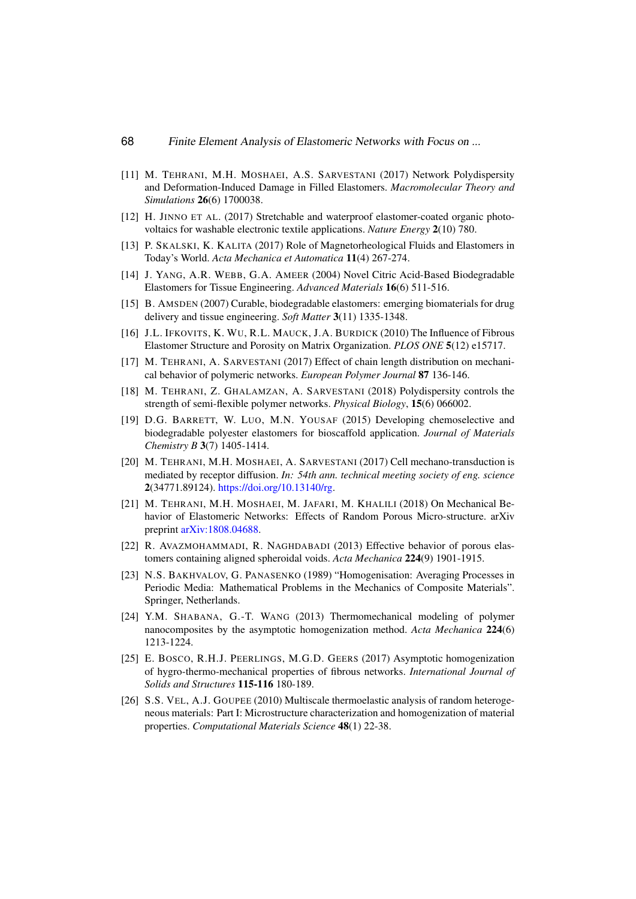- <span id="page-11-0"></span>[11] M. TEHRANI, M.H. MOSHAEI, A.S. SARVESTANI (2017) Network Polydispersity and Deformation-Induced Damage in Filled Elastomers. *Macromolecular Theory and Simulations* 26(6) 1700038.
- <span id="page-11-1"></span>[12] H. JINNO ET AL. (2017) Stretchable and waterproof elastomer-coated organic photovoltaics for washable electronic textile applications. *Nature Energy* 2(10) 780.
- <span id="page-11-2"></span>[13] P. SKALSKI, K. KALITA (2017) Role of Magnetorheological Fluids and Elastomers in Today's World. *Acta Mechanica et Automatica* 11(4) 267-274.
- <span id="page-11-3"></span>[14] J. YANG, A.R. WEBB, G.A. AMEER (2004) Novel Citric Acid-Based Biodegradable Elastomers for Tissue Engineering. *Advanced Materials* 16(6) 511-516.
- <span id="page-11-4"></span>[15] B. AMSDEN (2007) Curable, biodegradable elastomers: emerging biomaterials for drug delivery and tissue engineering. *Soft Matter* 3(11) 1335-1348.
- <span id="page-11-5"></span>[16] J.L. IFKOVITS, K. WU, R.L. MAUCK, J.A. BURDICK (2010) The Influence of Fibrous Elastomer Structure and Porosity on Matrix Organization. *PLOS ONE* 5(12) e15717.
- <span id="page-11-6"></span>[17] M. TEHRANI, A. SARVESTANI (2017) Effect of chain length distribution on mechanical behavior of polymeric networks. *European Polymer Journal* 87 136-146.
- <span id="page-11-7"></span>[18] M. TEHRANI, Z. GHALAMZAN, A. SARVESTANI (2018) Polydispersity controls the strength of semi-flexible polymer networks. *Physical Biology*, 15(6) 066002.
- <span id="page-11-8"></span>[19] D.G. BARRETT, W. LUO, M.N. YOUSAF (2015) Developing chemoselective and biodegradable polyester elastomers for bioscaffold application. *Journal of Materials Chemistry B* 3(7) 1405-1414.
- <span id="page-11-9"></span>[20] M. TEHRANI, M.H. MOSHAEI, A. SARVESTANI (2017) Cell mechano-transduction is mediated by receptor diffusion. *In: 54th ann. technical meeting society of eng. science* 2(34771.89124). [https://doi.org/10.13140/rg.](https://doi.org/10.13140/rg)
- <span id="page-11-10"></span>[21] M. TEHRANI, M.H. MOSHAEI, M. JAFARI, M. KHALILI (2018) On Mechanical Behavior of Elastomeric Networks: Effects of Random Porous Micro-structure. arXiv preprint [arXiv:1808.04688.](https://arxiv.org/abs/1808.04688)
- <span id="page-11-11"></span>[22] R. AVAZMOHAMMADI, R. NAGHDABADI (2013) Effective behavior of porous elastomers containing aligned spheroidal voids. *Acta Mechanica* 224(9) 1901-1915.
- <span id="page-11-12"></span>[23] N.S. BAKHVALOV, G. PANASENKO (1989) "Homogenisation: Averaging Processes in Periodic Media: Mathematical Problems in the Mechanics of Composite Materials". Springer, Netherlands.
- <span id="page-11-13"></span>[24] Y.M. SHABANA, G.-T. WANG (2013) Thermomechanical modeling of polymer nanocomposites by the asymptotic homogenization method. *Acta Mechanica* 224(6) 1213-1224.
- <span id="page-11-14"></span>[25] E. BOSCO, R.H.J. PEERLINGS, M.G.D. GEERS (2017) Asymptotic homogenization of hygro-thermo-mechanical properties of fibrous networks. *International Journal of Solids and Structures* 115-116 180-189.
- <span id="page-11-15"></span>[26] S.S. VEL, A.J. GOUPEE (2010) Multiscale thermoelastic analysis of random heterogeneous materials: Part I: Microstructure characterization and homogenization of material properties. *Computational Materials Science* 48(1) 22-38.